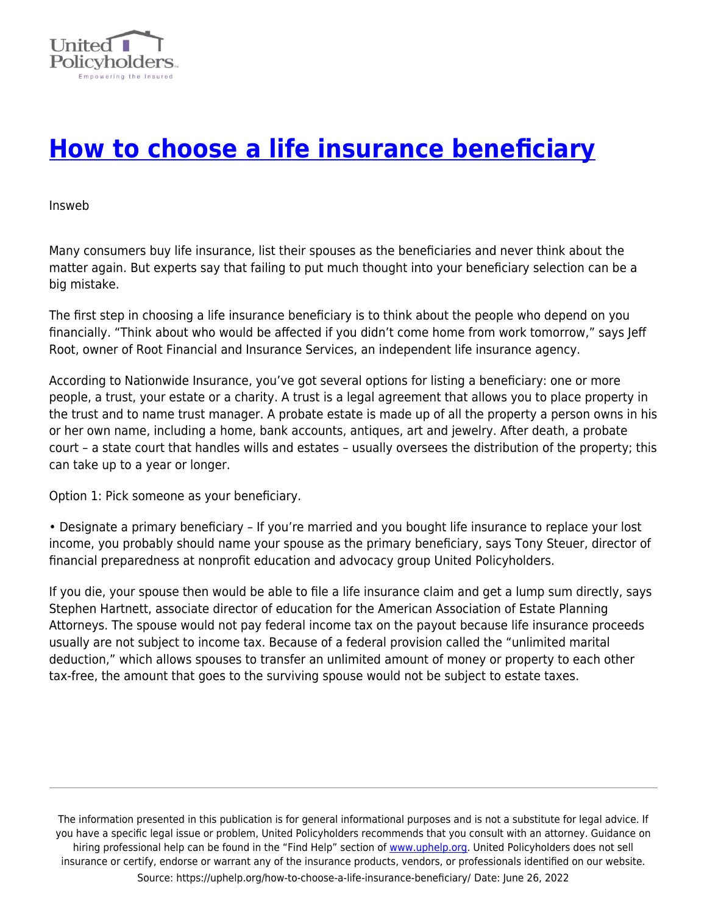

## **[How to choose a life insurance beneficiary](https://uphelp.org/how-to-choose-a-life-insurance-beneficiary/)**

Insweb

Many consumers buy life insurance, list their spouses as the beneficiaries and never think about the matter again. But experts say that failing to put much thought into your beneficiary selection can be a big mistake.

The first step in choosing a life insurance beneficiary is to think about the people who depend on you financially. "Think about who would be affected if you didn't come home from work tomorrow," says Jeff Root, owner of Root Financial and Insurance Services, an independent life insurance agency.

According to Nationwide Insurance, you've got several options for listing a beneficiary: one or more people, a trust, your estate or a charity. A trust is a legal agreement that allows you to place property in the trust and to name trust manager. A probate estate is made up of all the property a person owns in his or her own name, including a home, bank accounts, antiques, art and jewelry. After death, a probate court – a state court that handles wills and estates – usually oversees the distribution of the property; this can take up to a year or longer.

Option 1: Pick someone as your beneficiary.

• Designate a primary beneficiary – If you're married and you bought life insurance to replace your lost income, you probably should name your spouse as the primary beneficiary, says Tony Steuer, director of financial preparedness at nonprofit education and advocacy group United Policyholders.

If you die, your spouse then would be able to file a life insurance claim and get a lump sum directly, says Stephen Hartnett, associate director of education for the American Association of Estate Planning Attorneys. The spouse would not pay federal income tax on the payout because life insurance proceeds usually are not subject to income tax. Because of a federal provision called the "unlimited marital deduction," which allows spouses to transfer an unlimited amount of money or property to each other tax-free, the amount that goes to the surviving spouse would not be subject to estate taxes.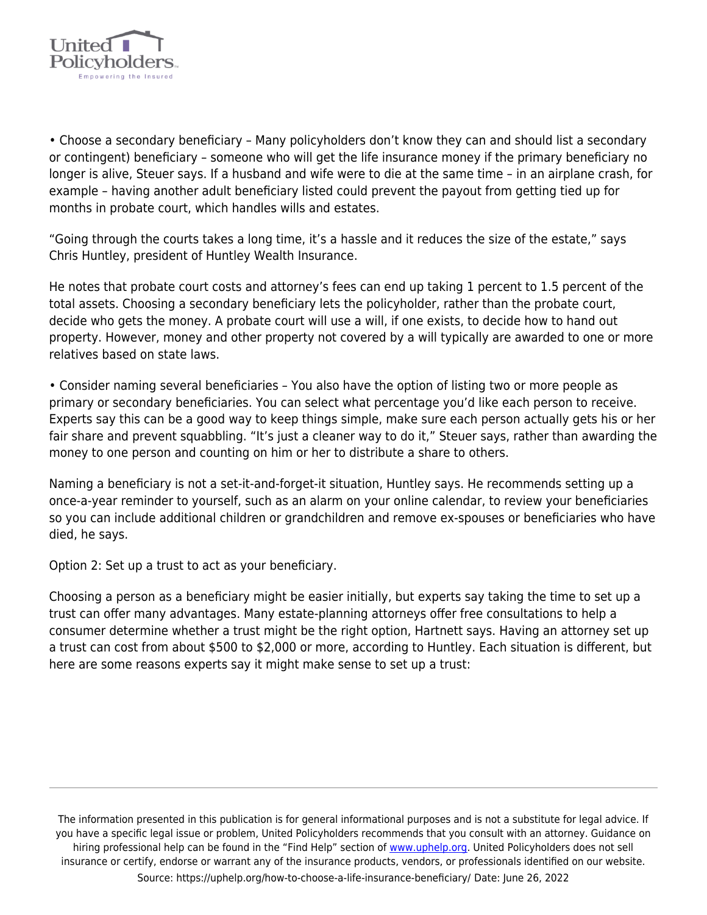

• Choose a secondary beneficiary – Many policyholders don't know they can and should list a secondary or contingent) beneficiary – someone who will get the life insurance money if the primary beneficiary no longer is alive, Steuer says. If a husband and wife were to die at the same time – in an airplane crash, for example – having another adult beneficiary listed could prevent the payout from getting tied up for months in probate court, which handles wills and estates.

"Going through the courts takes a long time, it's a hassle and it reduces the size of the estate," says Chris Huntley, president of Huntley Wealth Insurance.

He notes that probate court costs and attorney's fees can end up taking 1 percent to 1.5 percent of the total assets. Choosing a secondary beneficiary lets the policyholder, rather than the probate court, decide who gets the money. A probate court will use a will, if one exists, to decide how to hand out property. However, money and other property not covered by a will typically are awarded to one or more relatives based on state laws.

• Consider naming several beneficiaries – You also have the option of listing two or more people as primary or secondary beneficiaries. You can select what percentage you'd like each person to receive. Experts say this can be a good way to keep things simple, make sure each person actually gets his or her fair share and prevent squabbling. "It's just a cleaner way to do it," Steuer says, rather than awarding the money to one person and counting on him or her to distribute a share to others.

Naming a beneficiary is not a set-it-and-forget-it situation, Huntley says. He recommends setting up a once-a-year reminder to yourself, such as an alarm on your online calendar, to review your beneficiaries so you can include additional children or grandchildren and remove ex-spouses or beneficiaries who have died, he says.

Option 2: Set up a trust to act as your beneficiary.

Choosing a person as a beneficiary might be easier initially, but experts say taking the time to set up a trust can offer many advantages. Many estate-planning attorneys offer free consultations to help a consumer determine whether a trust might be the right option, Hartnett says. Having an attorney set up a trust can cost from about \$500 to \$2,000 or more, according to Huntley. Each situation is different, but here are some reasons experts say it might make sense to set up a trust: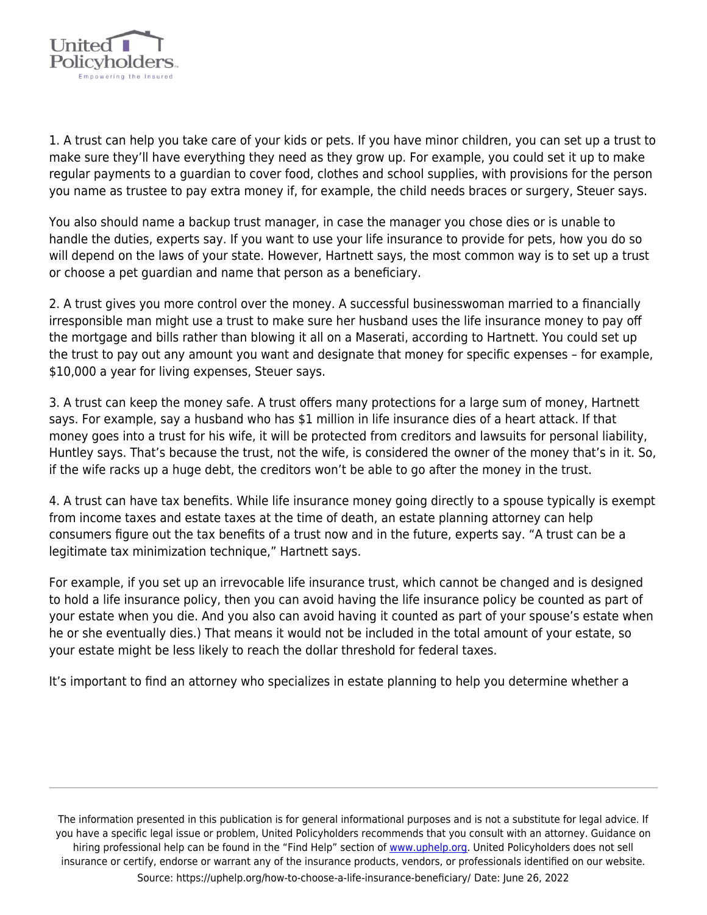

1. A trust can help you take care of your kids or pets. If you have minor children, you can set up a trust to make sure they'll have everything they need as they grow up. For example, you could set it up to make regular payments to a guardian to cover food, clothes and school supplies, with provisions for the person you name as trustee to pay extra money if, for example, the child needs braces or surgery, Steuer says.

You also should name a backup trust manager, in case the manager you chose dies or is unable to handle the duties, experts say. If you want to use your life insurance to provide for pets, how you do so will depend on the laws of your state. However, Hartnett says, the most common way is to set up a trust or choose a pet guardian and name that person as a beneficiary.

2. A trust gives you more control over the money. A successful businesswoman married to a financially irresponsible man might use a trust to make sure her husband uses the life insurance money to pay off the mortgage and bills rather than blowing it all on a Maserati, according to Hartnett. You could set up the trust to pay out any amount you want and designate that money for specific expenses – for example, \$10,000 a year for living expenses, Steuer says.

3. A trust can keep the money safe. A trust offers many protections for a large sum of money, Hartnett says. For example, say a husband who has \$1 million in life insurance dies of a heart attack. If that money goes into a trust for his wife, it will be protected from creditors and lawsuits for personal liability, Huntley says. That's because the trust, not the wife, is considered the owner of the money that's in it. So, if the wife racks up a huge debt, the creditors won't be able to go after the money in the trust.

4. A trust can have tax benefits. While life insurance money going directly to a spouse typically is exempt from income taxes and estate taxes at the time of death, an estate planning attorney can help consumers figure out the tax benefits of a trust now and in the future, experts say. "A trust can be a legitimate tax minimization technique," Hartnett says.

For example, if you set up an irrevocable life insurance trust, which cannot be changed and is designed to hold a life insurance policy, then you can avoid having the life insurance policy be counted as part of your estate when you die. And you also can avoid having it counted as part of your spouse's estate when he or she eventually dies.) That means it would not be included in the total amount of your estate, so your estate might be less likely to reach the dollar threshold for federal taxes.

It's important to find an attorney who specializes in estate planning to help you determine whether a